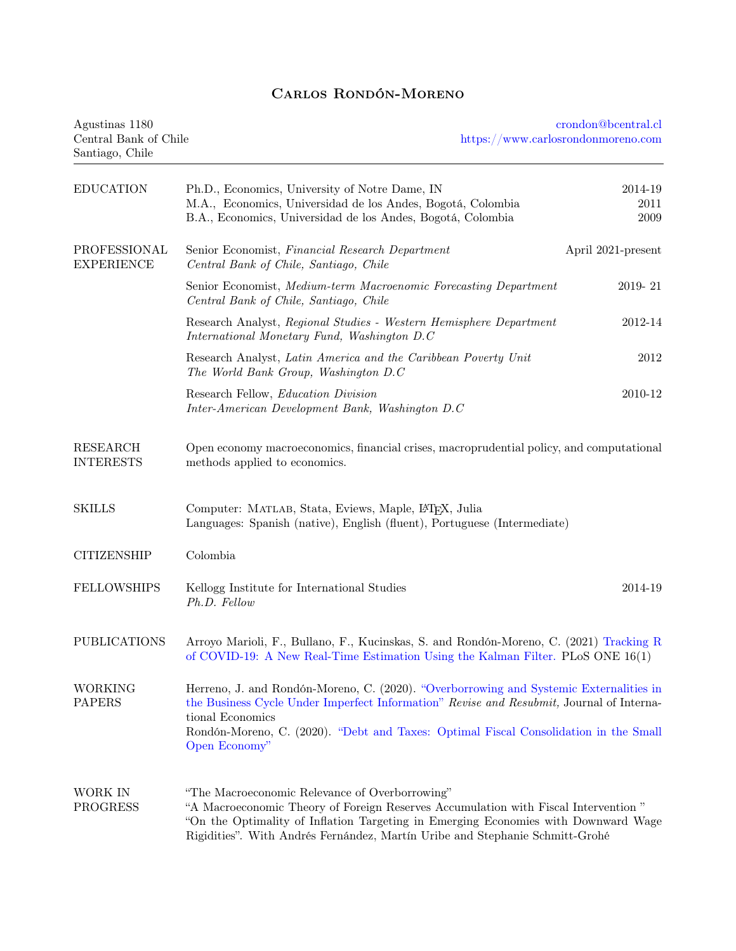## Carlos Rondón-Moreno

| Agustinas 1180<br>Central Bank of Chile<br>Santiago, Chile |                                                                                                                                                                                                                                                                                                                 | crondon@bcentral.cl<br>https://www.carlosrondonmoreno.com |  |  |  |
|------------------------------------------------------------|-----------------------------------------------------------------------------------------------------------------------------------------------------------------------------------------------------------------------------------------------------------------------------------------------------------------|-----------------------------------------------------------|--|--|--|
| <b>EDUCATION</b>                                           | Ph.D., Economics, University of Notre Dame, IN<br>M.A., Economics, Universidad de los Andes, Bogotá, Colombia<br>B.A., Economics, Universidad de los Andes, Bogotá, Colombia                                                                                                                                    | 2014-19<br>2011<br>2009                                   |  |  |  |
| PROFESSIONAL<br><b>EXPERIENCE</b>                          | Senior Economist, Financial Research Department<br>Central Bank of Chile, Santiago, Chile                                                                                                                                                                                                                       | April 2021-present                                        |  |  |  |
|                                                            | Senior Economist, Medium-term Macroenomic Forecasting Department<br>Central Bank of Chile, Santiago, Chile                                                                                                                                                                                                      | 2019-21                                                   |  |  |  |
|                                                            | Research Analyst, Regional Studies - Western Hemisphere Department<br>International Monetary Fund, Washington D.C.                                                                                                                                                                                              | 2012-14                                                   |  |  |  |
|                                                            | Research Analyst, Latin America and the Caribbean Poverty Unit<br>The World Bank Group, Washington D.C                                                                                                                                                                                                          | 2012                                                      |  |  |  |
|                                                            | Research Fellow, <i>Education Division</i><br>Inter-American Development Bank, Washington D.C                                                                                                                                                                                                                   | 2010-12                                                   |  |  |  |
| <b>RESEARCH</b><br><b>INTERESTS</b>                        | Open economy macroeconomics, financial crises, macroprudential policy, and computational<br>methods applied to economics.                                                                                                                                                                                       |                                                           |  |  |  |
| <b>SKILLS</b>                                              | Computer: MATLAB, Stata, Eviews, Maple, L <sup>AT</sup> FX, Julia<br>Languages: Spanish (native), English (fluent), Portuguese (Intermediate)                                                                                                                                                                   |                                                           |  |  |  |
| <b>CITIZENSHIP</b>                                         | Colombia                                                                                                                                                                                                                                                                                                        |                                                           |  |  |  |
| <b>FELLOWSHIPS</b>                                         | Kellogg Institute for International Studies<br>Ph.D. Fellow                                                                                                                                                                                                                                                     | 2014-19                                                   |  |  |  |
| <b>PUBLICATIONS</b>                                        | Arroyo Marioli, F., Bullano, F., Kucinskas, S. and Rondón-Moreno, C. (2021) Tracking R<br>of COVID-19: A New Real-Time Estimation Using the Kalman Filter. PLoS ONE 16(1)                                                                                                                                       |                                                           |  |  |  |
| <b>WORKING</b><br><b>PAPERS</b>                            | Herreno, J. and Rondón-Moreno, C. (2020). "Overborrowing and Systemic Externalities in<br>the Business Cycle Under Imperfect Information" Revise and Resubmit, Journal of Interna-<br>tional Economics<br>Rondón-Moreno, C. (2020). "Debt and Taxes: Optimal Fiscal Consolidation in the Small<br>Open Economy" |                                                           |  |  |  |
| WORK IN<br><b>PROGRESS</b>                                 | "The Macroeconomic Relevance of Overborrowing"<br>"A Macroeconomic Theory of Foreign Reserves Accumulation with Fiscal Intervention"<br>"On the Optimality of Inflation Targeting in Emerging Economies with Downward Wage<br>Rigidities". With Andrés Fernández, Martín Uribe and Stephanie Schmitt-Grohé      |                                                           |  |  |  |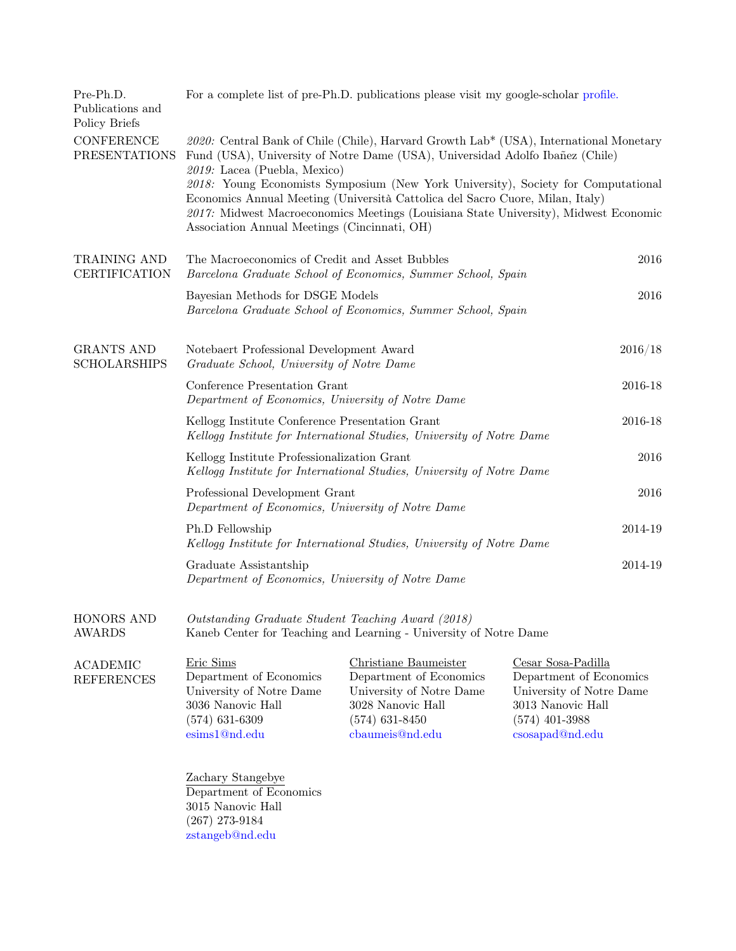| Pre-Ph.D.<br>Publications and<br>Policy Briefs | For a complete list of pre-Ph.D. publications please visit my google-scholar profile.                                                                                                                                                                      |                                                                                                                                          |                                                                                                                                       |  |  |
|------------------------------------------------|------------------------------------------------------------------------------------------------------------------------------------------------------------------------------------------------------------------------------------------------------------|------------------------------------------------------------------------------------------------------------------------------------------|---------------------------------------------------------------------------------------------------------------------------------------|--|--|
| <b>CONFERENCE</b><br><b>PRESENTATIONS</b>      | 2020: Central Bank of Chile (Chile), Harvard Growth Lab* (USA), International Monetary<br>Fund (USA), University of Notre Dame (USA), Universidad Adolfo Ibañez (Chile)<br>2019: Lacea (Puebla, Mexico)                                                    |                                                                                                                                          |                                                                                                                                       |  |  |
|                                                | 2018: Young Economists Symposium (New York University), Society for Computational<br>Economics Annual Meeting (Università Cattolica del Sacro Cuore, Milan, Italy)<br>2017: Midwest Macroeconomics Meetings (Louisiana State University), Midwest Economic |                                                                                                                                          |                                                                                                                                       |  |  |
| TRAINING AND<br><b>CERTIFICATION</b>           | The Macroeconomics of Credit and Asset Bubbles<br>Barcelona Graduate School of Economics, Summer School, Spain                                                                                                                                             | 2016                                                                                                                                     |                                                                                                                                       |  |  |
|                                                | Bayesian Methods for DSGE Models<br>Barcelona Graduate School of Economics, Summer School, Spain                                                                                                                                                           | 2016                                                                                                                                     |                                                                                                                                       |  |  |
| <b>GRANTS AND</b><br><b>SCHOLARSHIPS</b>       | Notebaert Professional Development Award<br>Graduate School, University of Notre Dame                                                                                                                                                                      | 2016/18                                                                                                                                  |                                                                                                                                       |  |  |
|                                                | Conference Presentation Grant<br>Department of Economics, University of Notre Dame                                                                                                                                                                         | 2016-18                                                                                                                                  |                                                                                                                                       |  |  |
|                                                | Kellogg Institute Conference Presentation Grant<br>Kellogg Institute for International Studies, University of Notre Dame                                                                                                                                   | 2016-18                                                                                                                                  |                                                                                                                                       |  |  |
|                                                | 2016<br>Kellogg Institute Professionalization Grant<br>Kellogg Institute for International Studies, University of Notre Dame                                                                                                                               |                                                                                                                                          |                                                                                                                                       |  |  |
|                                                | Professional Development Grant<br>2016<br>Department of Economics, University of Notre Dame                                                                                                                                                                |                                                                                                                                          |                                                                                                                                       |  |  |
|                                                | Ph.D Fellowship<br>2014-19<br>Kellogg Institute for International Studies, University of Notre Dame                                                                                                                                                        |                                                                                                                                          |                                                                                                                                       |  |  |
|                                                | Graduate Assistantship<br>Department of Economics, University of Notre Dame                                                                                                                                                                                |                                                                                                                                          | 2014-19                                                                                                                               |  |  |
| HONORS AND<br><b>AWARDS</b>                    | Outstanding Graduate Student Teaching Award (2018)<br>Kaneb Center for Teaching and Learning - University of Notre Dame                                                                                                                                    |                                                                                                                                          |                                                                                                                                       |  |  |
| <b>ACADEMIC</b><br><b>REFERENCES</b>           | Eric Sims<br>Department of Economics<br>University of Notre Dame<br>3036 Nanovic Hall<br>$(574)$ 631-6309<br>esims1@nd.edu<br>Zachary Stangebye<br>Department of Economics<br>3015 Nanovic Hall                                                            | Christiane Baumeister<br>Department of Economics<br>University of Notre Dame<br>3028 Nanovic Hall<br>$(574)$ 631-8450<br>cbaumeis@nd.edu | Cesar Sosa-Padilla<br>Department of Economics<br>University of Notre Dame<br>3013 Nanovic Hall<br>$(574)$ 401-3988<br>csosapad@nd.edu |  |  |

(267) 273-9184 [zstangeb@nd.edu](mailto:zstangeb@nd.edu)